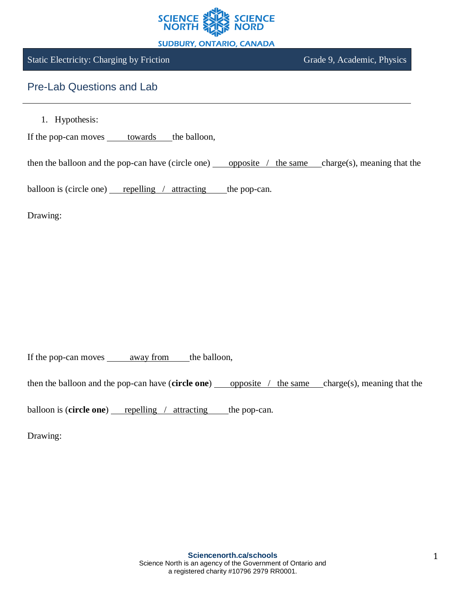

#### **SUDBURY, ONTARIO, CANADA**

## Static Electricity: Charging by Friction Grade 9, Academic, Physics

# Pre-Lab Questions and Lab

1. Hypothesis:

If the pop-can moves towards the balloon,

then the balloon and the pop-can have (circle one) opposite  $/$  the same charge(s), meaning that the

balloon is (circle one) repelling  $/$  attracting the pop-can.

Drawing:

If the pop-can moves <u>away from</u> the balloon,

then the balloon and the pop-can have (**circle one**) opposite / the same charge(s), meaning that the

balloon is (**circle one**) repelling / attracting the pop-can.

Drawing: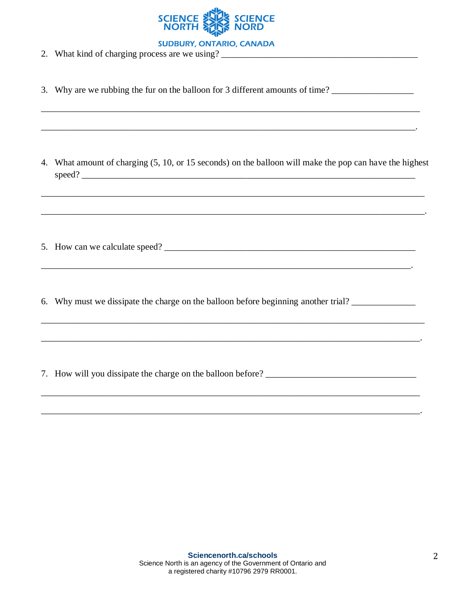

**SUDBURY, ONTARIO, CANADA** 

- 2. What kind of charging process are we using?
- 3. Why are we rubbing the fur on the balloon for 3 different amounts of time?

4. What amount of charging (5, 10, or 15 seconds) on the balloon will make the pop can have the highest 

- 5. How can we calculate speed?
- 6. Why must we dissipate the charge on the balloon before beginning another trial?